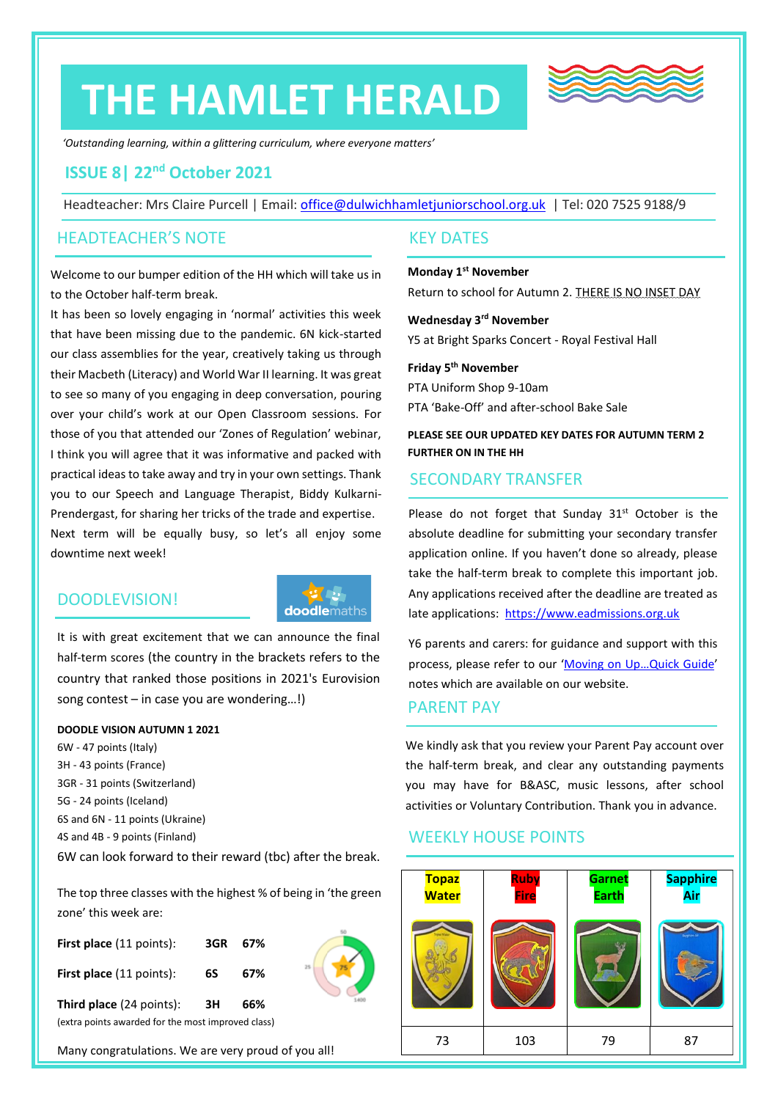# **THE HAMLET HERALD**



*'Outstanding learning, within a glittering curriculum, where everyone matters'*

# **ISSUE 8| 22nd October 2021**

Headteacher: Mrs Claire Purcell | Email: [office@dulwichhamletjuniorschool.org.uk](mailto:office@dulwichhamletjuniorschool.org.uk) | Tel: 020 7525 9188/9

### HEADTEACHER'S NOTE

Welcome to our bumper edition of the HH which will take us in to the October half-term break.

It has been so lovely engaging in 'normal' activities this week that have been missing due to the pandemic. 6N kick-started our class assemblies for the year, creatively taking us through their Macbeth (Literacy) and World War II learning. It was great to see so many of you engaging in deep conversation, pouring over your child's work at our Open Classroom sessions. For those of you that attended our 'Zones of Regulation' webinar, I think you will agree that it was informative and packed with practical ideas to take away and try in your own settings. Thank you to our Speech and Language Therapist, Biddy Kulkarni-Prendergast, for sharing her tricks of the trade and expertise. Next term will be equally busy, so let's all enjoy some downtime next week!

# DOODLEVISION!



It is with great excitement that we can announce the final half-term scores (the country in the brackets refers to the country that ranked those positions in 2021's Eurovision song contest – in case you are wondering…!)

#### **DOODLE VISION AUTUMN 1 2021**

6W - 47 points (Italy) 3H - 43 points (France) 3GR - 31 points (Switzerland) 5G - 24 points (Iceland) 6S and 6N - 11 points (Ukraine) 4S and 4B - 9 points (Finland) 6W can look forward to their reward (tbc) after the break.

The top three classes with the highest % of being in 'the green zone' this week are:

| <b>First place</b> (11 points):                    | 3GR | 67% |   |
|----------------------------------------------------|-----|-----|---|
| <b>First place</b> (11 points):                    | 6S  | 67% | t |
| Third place (24 points):                           | ЗH  | 66% |   |
| (extra points awarded for the most improved class) |     |     |   |

Many congratulations. We are very proud of you all!

## KEY DATES

**Monday 1st November** Return to school for Autumn 2. THERE IS NO INSET DAY

**Wednesday 3rd November** Y5 at Bright Sparks Concert - Royal Festival Hall

**Friday 5 th November** PTA Uniform Shop 9-10am PTA 'Bake-Off' and after-school Bake Sale

**PLEASE SEE OUR UPDATED KEY DATES FOR AUTUMN TERM 2 FURTHER ON IN THE HH**

# SECONDARY TRANSFER

Please do not forget that Sunday  $31<sup>st</sup>$  October is the absolute deadline for submitting your secondary transfer application online. If you haven't done so already, please take the half-term break to complete this important job. Any applications received after the deadline are treated as late applications: [https://www.eadmissions.org.uk](https://www.eadmissions.org.uk/)

Y6 parents and carers: for guidance and support with this process, please refer to our 'Moving on Up…[Quick Guide](http://www.dulwichhamletjuniorschool.org.uk/uploads/6/2/8/6/62866179/moving_on_up_dhjs_quick_guide_to_the_secondary_transfer_admission_process_for_september_2022_entry.pdf)' notes which are available on our website.

### PARENT PAY

We kindly ask that you review your Parent Pay account over the half-term break, and clear any outstanding payments you may have for B&ASC, music lessons, after school activities or Voluntary Contribution. Thank you in advance.

# WEEKLY HOUSE POINTS

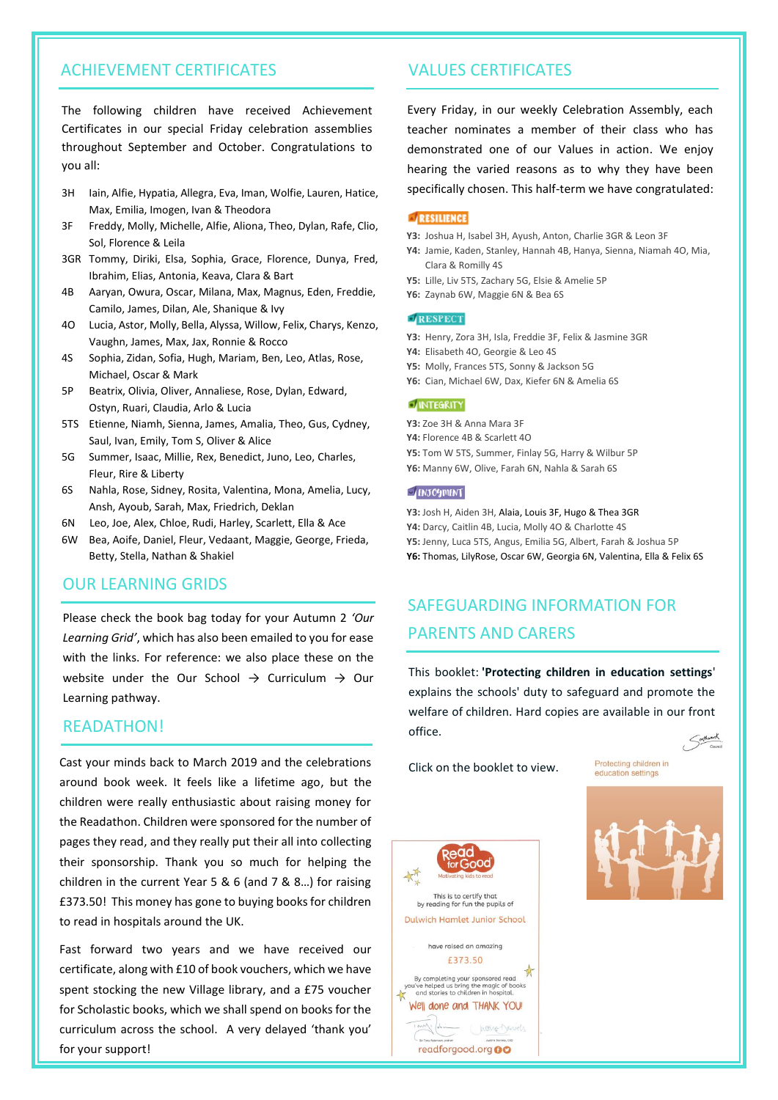# ACHIEVEMENT CERTIFICATES

The following children have received Achievement Certificates in our special Friday celebration assemblies throughout September and October. Congratulations to you all:

- 3H Iain, Alfie, Hypatia, Allegra, Eva, Iman, Wolfie, Lauren, Hatice, Max, Emilia, Imogen, Ivan & Theodora
- 3F Freddy, Molly, Michelle, Alfie, Aliona, Theo, Dylan, Rafe, Clio, Sol, Florence & Leila
- 3GR Tommy, Diriki, Elsa, Sophia, Grace, Florence, Dunya, Fred, Ibrahim, Elias, Antonia, Keava, Clara & Bart
- 4B Aaryan, Owura, Oscar, Milana, Max, Magnus, Eden, Freddie, Camilo, James, Dilan, Ale, Shanique & Ivy
- 4O Lucia, Astor, Molly, Bella, Alyssa, Willow, Felix, Charys, Kenzo, Vaughn, James, Max, Jax, Ronnie & Rocco
- 4S Sophia, Zidan, Sofia, Hugh, Mariam, Ben, Leo, Atlas, Rose, Michael, Oscar & Mark
- 5P Beatrix, Olivia, Oliver, Annaliese, Rose, Dylan, Edward, Ostyn, Ruari, Claudia, Arlo & Lucia
- 5TS Etienne, Niamh, Sienna, James, Amalia, Theo, Gus, Cydney, Saul, Ivan, Emily, Tom S, Oliver & Alice
- 5G Summer, Isaac, Millie, Rex, Benedict, Juno, Leo, Charles, Fleur, Rire & Liberty
- 6S Nahla, Rose, Sidney, Rosita, Valentina, Mona, Amelia, Lucy, Ansh, Ayoub, Sarah, Max, Friedrich, Deklan
- 6N Leo, Joe, Alex, Chloe, Rudi, Harley, Scarlett, Ella & Ace
- 6W Bea, Aoife, Daniel, Fleur, Vedaant, Maggie, George, Frieda, Betty, Stella, Nathan & Shakiel

# OUR LEARNING GRIDS

Please check the book bag today for your Autumn 2 *'Our Learning Grid'*, which has also been emailed to you for ease with the links. For reference: we also place these on the website under the Our School  $\rightarrow$  Curriculum  $\rightarrow$  Our Learning pathway.

#### **READATHON!**

Cast your minds back to March 2019 and the celebrations around book week. It feels like a lifetime ago, but the children were really enthusiastic about raising money for the Readathon. Children were sponsored for the number of pages they read, and they really put their all into collecting their sponsorship. Thank you so much for helping the children in the current Year 5 & 6 (and 7 & 8…) for raising £373.50! This money has gone to buying books for children to read in hospitals around the UK.

Fast forward two years and we have received our certificate, along with £10 of book vouchers, which we have spent stocking the new Village library, and a £75 voucher for Scholastic books, which we shall spend on books for the curriculum across the school. A very delayed 'thank you' for your support!

## VALUES CERTIFICATES

Every Friday, in our weekly Celebration Assembly, each teacher nominates a member of their class who has demonstrated one of our Values in action. We enjoy hearing the varied reasons as to why they have been specifically chosen. This half-term we have congratulated:

#### RESILIENCE

- **Y3:** Joshua H, Isabel 3H, Ayush, Anton, Charlie 3GR & Leon 3F
- **Y4:** Jamie, Kaden, Stanley, Hannah 4B, Hanya, Sienna, Niamah 4O, Mia, Clara & Romilly 4S
- **Y5:** Lille, Liv 5TS, Zachary 5G, Elsie & Amelie 5P
- **Y6:** Zaynab 6W, Maggie 6N & Bea 6S

#### RESPECT

- **Y3:** Henry, Zora 3H, Isla, Freddie 3F, Felix & Jasmine 3GR
- **Y4:** Elisabeth 4O, Georgie & Leo 4S
- **Y5:** Molly, Frances 5TS, Sonny & Jackson 5G
- **Y6:** Cian, Michael 6W, Dax, Kiefer 6N & Amelia 6S

#### **DINTEGRITY**

**Y3:** Zoe 3H & Anna Mara 3F

- **Y4:** Florence 4B & Scarlett 4O
- **Y5:** Tom W 5TS, Summer, Finlay 5G, Harry & Wilbur 5P
- **Y6:** Manny 6W, Olive, Farah 6N, Nahla & Sarah 6S

#### **ENJOYMENT**

**Y3:** Josh H, Aiden 3H, Alaia, Louis 3F, Hugo & Thea 3GR **Y4:** Darcy, Caitlin 4B, Lucia, Molly 4O & Charlotte 4S **Y5:** Jenny, Luca 5TS, Angus, Emilia 5G, Albert, Farah & Joshua 5P **Y6:** Thomas, LilyRose, Oscar 6W, Georgia 6N, Valentina, Ella & Felix 6S

# SAFEGUARDING INFORMATION FOR PARENTS AND CARERS

This booklet: **'Protecting children in education settings**' explains the schools' duty to safeguard and promote the welfare of children. Hard copies are available in our front office. Sorthwark

Click on the booklet to view.

Protecting children in education settings



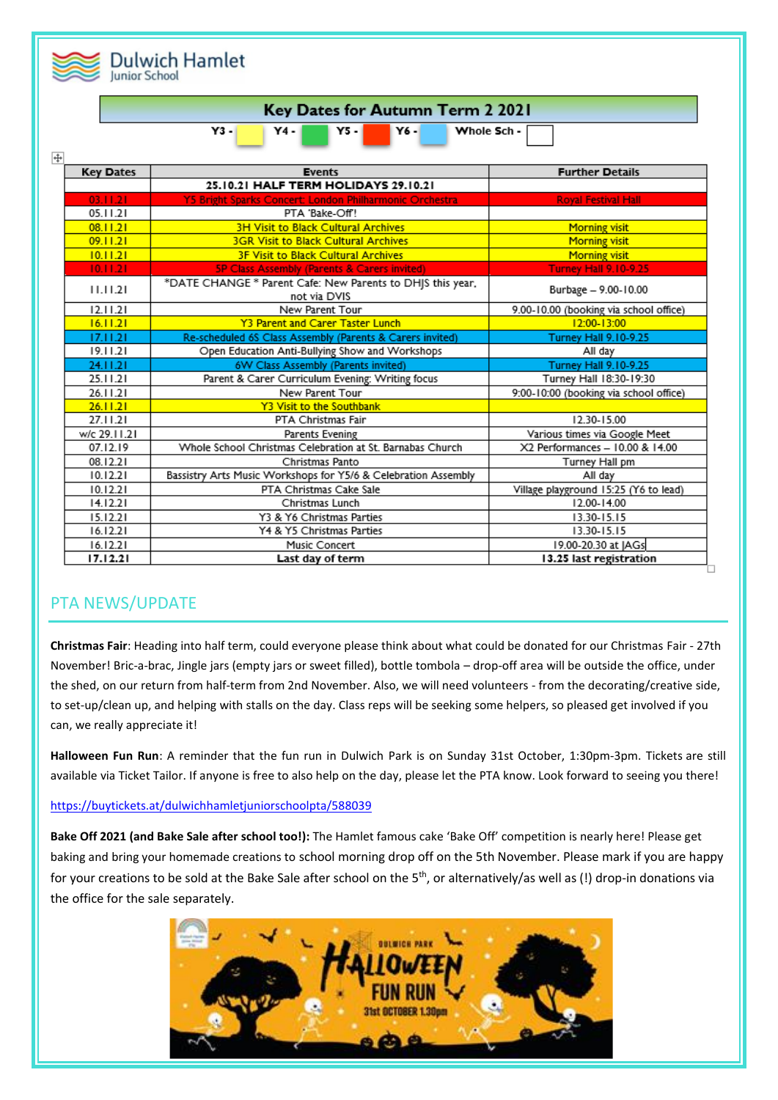|                | <b>Dulwich Hamlet</b><br><b>Junior School</b>           |                                                                            |                                        |  |  |  |
|----------------|---------------------------------------------------------|----------------------------------------------------------------------------|----------------------------------------|--|--|--|
|                | <b>Key Dates for Autumn Term 2 2021</b>                 |                                                                            |                                        |  |  |  |
| $\overline{+}$ | $Y3 -$<br>Whole Sch -<br><b>Y6-</b><br>Y4 - I<br>Y5 - I |                                                                            |                                        |  |  |  |
|                | <b>Key Dates</b>                                        | <b>Events</b>                                                              | <b>Further Details</b>                 |  |  |  |
|                |                                                         | 25.10.21 HALF TERM HOLIDAYS 29.10.21                                       |                                        |  |  |  |
|                | 03.11.21                                                | Y5 Bright Sparks Concert: London Philharmonic Orchestra                    | <b>Royal Festival Hall</b>             |  |  |  |
|                | 05.11.21                                                | PTA 'Bake-Off!                                                             |                                        |  |  |  |
|                | 08.11.21                                                | <b>3H Visit to Black Cultural Archives</b>                                 | <b>Morning visit</b>                   |  |  |  |
|                | 09.11.21                                                | <b>3GR Visit to Black Cultural Archives</b>                                | <b>Morning visit</b>                   |  |  |  |
|                | 10.11.21                                                | 3F Visit to Black Cultural Archives                                        | <b>Morning visit</b>                   |  |  |  |
|                | 10.11.21                                                | 5P Class Assembly (Parents & Carers invited)                               | <b>Turney Hall 9.10-9.25</b>           |  |  |  |
|                | 11.11.21                                                | *DATE CHANGE * Parent Cafe: New Parents to DHJS this year,<br>not via DVIS | Burbage - 9.00-10.00                   |  |  |  |
|                | 12.11.21                                                | New Parent Tour                                                            | 9.00-10.00 (booking via school office) |  |  |  |
|                | 16.11.21                                                | <b>Y3 Parent and Carer Taster Lunch</b>                                    | 12:00-13:00                            |  |  |  |
|                | 17.11.21                                                | Re-scheduled 6S Class Assembly (Parents & Carers invited)                  | <b>Turney Hall 9.10-9.25</b>           |  |  |  |
|                | 19.11.21                                                | Open Education Anti-Bullying Show and Workshops                            | All day                                |  |  |  |
|                | 24.11.21                                                | 6W Class Assembly (Parents invited)                                        | <b>Turney Hall 9.10-9.25</b>           |  |  |  |
|                | 25.11.21                                                | Parent & Carer Curriculum Evening: Writing focus                           | Turney Hall 18:30-19:30                |  |  |  |
|                | 26.11.21                                                | New Parent Tour                                                            | 9:00-10:00 (booking via school office) |  |  |  |
|                | 26.11.21                                                | Y3 Visit to the Southbank                                                  |                                        |  |  |  |
|                | 27.11.21                                                | PTA Christmas Fair                                                         | 12.30-15.00                            |  |  |  |
|                | w/c 29.11.21                                            | Parents Evening                                                            | Various times via Google Meet          |  |  |  |
|                | 07.12.19                                                | Whole School Christmas Celebration at St. Barnabas Church                  | X2 Performances - 10.00 & 14.00        |  |  |  |
|                | 08.12.21                                                | Christmas Panto                                                            | Turney Hall pm                         |  |  |  |
|                | 10.12.21                                                | Bassistry Arts Music Workshops for Y5/6 & Celebration Assembly             | All day                                |  |  |  |
|                | 10.12.21                                                | PTA Christmas Cake Sale                                                    | Village playground 15:25 (Y6 to lead)  |  |  |  |
|                | 14.12.21                                                | Christmas Lunch                                                            | 12.00-14.00                            |  |  |  |
|                | 15.12.21                                                | Y3 & Y6 Christmas Parties                                                  | 13.30-15.15                            |  |  |  |
|                | 16.12.21                                                | Y4 & Y5 Christmas Parties                                                  | 13.30-15.15                            |  |  |  |
|                | 16.12.21                                                | Music Concert                                                              | 19.00-20.30 at JAGs                    |  |  |  |
|                | 17.12.21                                                | Last day of term                                                           | 13.25 last registration                |  |  |  |

# PTA NEWS/UPDATE

**Christmas Fair**: Heading into half term, could everyone please think about what could be donated for our Christmas Fair - 27th November! Bric-a-brac, Jingle jars (empty jars or sweet filled), bottle tombola – drop-off area will be outside the office, under the shed, on our return from half-term from 2nd November. Also, we will need volunteers - from the decorating/creative side, to set-up/clean up, and helping with stalls on the day. Class reps will be seeking some helpers, so pleased get involved if you can, we really appreciate it!

**Halloween Fun Run**: A reminder that the fun run in Dulwich Park is on Sunday 31st October, 1:30pm-3pm. Tickets are still available via Ticket Tailor. If anyone is free to also help on the day, please let the PTA know. Look forward to seeing you there!

### <https://buytickets.at/dulwichhamletjuniorschoolpta/588039>

**Bake Off 2021 (and Bake Sale after school too!):** The Hamlet famous cake 'Bake Off' competition is nearly here! Please get baking and bring your homemade creations to school morning drop off on the 5th November. Please mark if you are happy for your creations to be sold at the Bake Sale after school on the 5<sup>th</sup>, or alternatively/as well as (!) drop-in donations via the office for the sale separately.

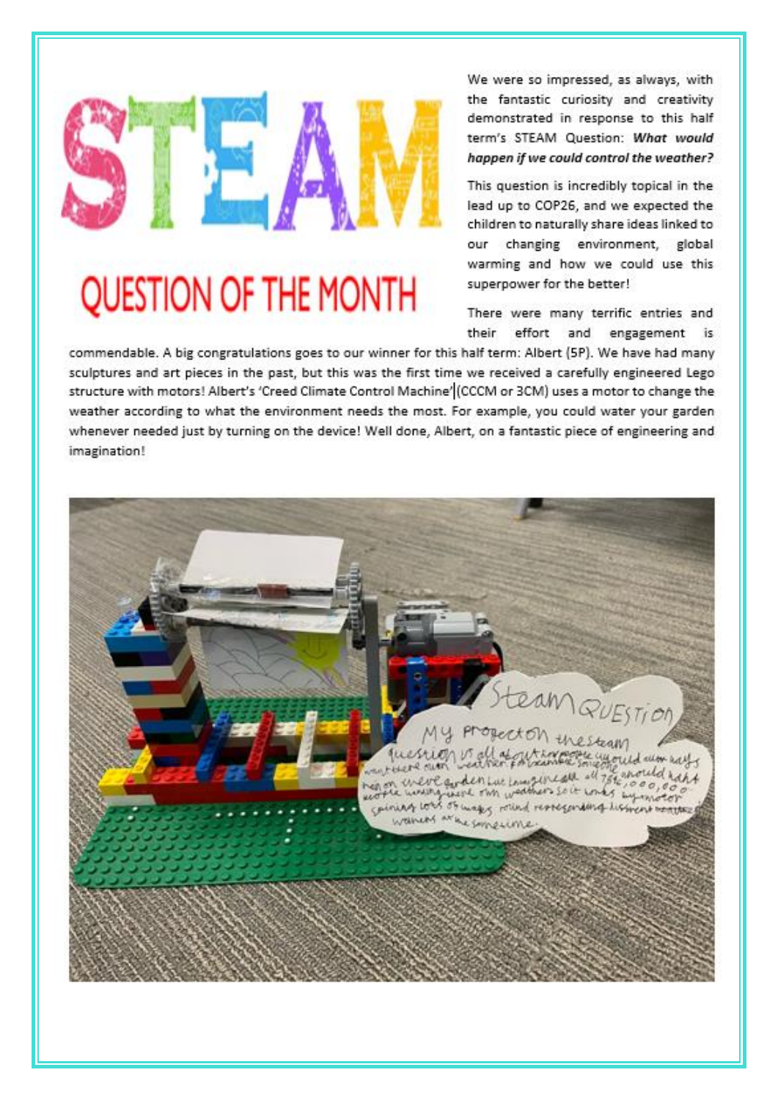# **QUESTION OF THE MONTH**

We were so impressed, as always, with the fantastic curiosity and creativity demonstrated in response to this half term's STEAM Question: What would happen if we could control the weather?

This question is incredibly topical in the lead up to COP26, and we expected the children to naturally share ideas linked to our changing environment, global warming and how we could use this superpower for the better!

There were many terrific entries and their effort and engagement is

commendable. A big congratulations goes to our winner for this half term: Albert (5P). We have had many sculptures and art pieces in the past, but this was the first time we received a carefully engineered Lego structure with motors! Albert's 'Creed Climate Control Machine' (CCCM or 3CM) uses a motor to change the weather according to what the environment needs the most. For example, you could water your garden whenever needed just by turning on the device! Well done, Albert, on a fantastic piece of engineering and imagination!

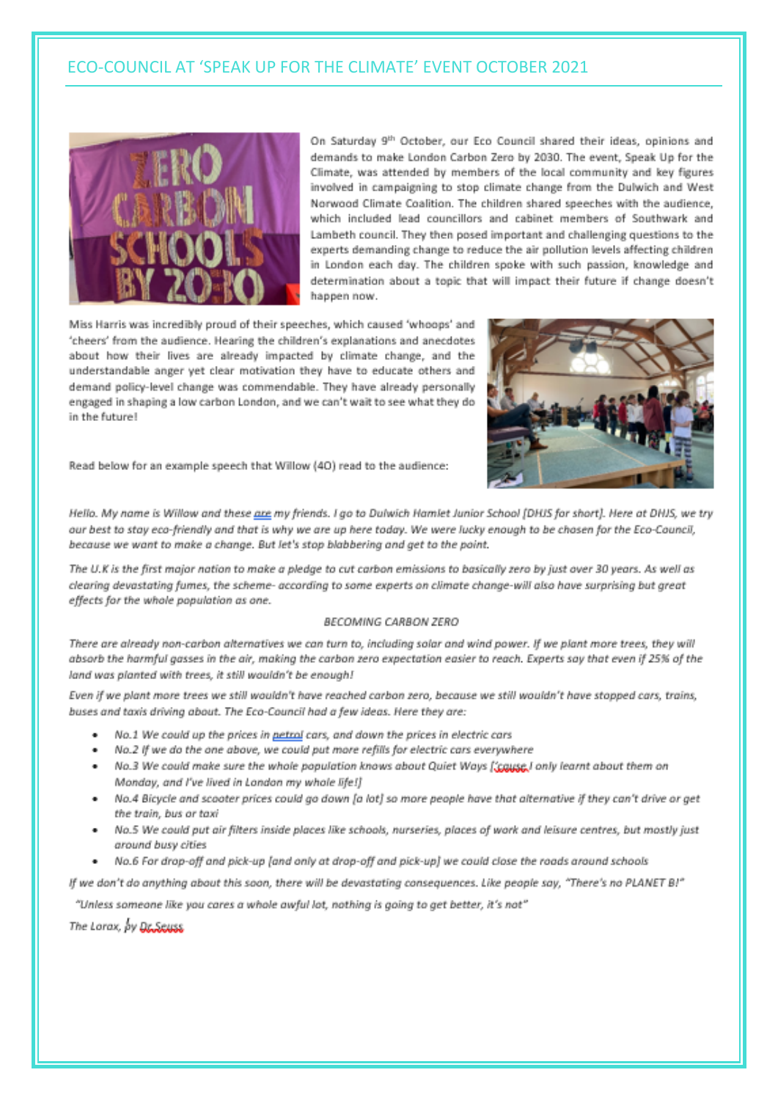# ECO-COUNCIL AT 'SPEAK UP FOR THE CLIMATE' EVENT OCTOBER 2021



On Saturday 9th October, our Eco Council shared their ideas, opinions and demands to make London Carbon Zero by 2030. The event, Speak Up for the Climate, was attended by members of the local community and key figures involved in campaigning to stop climate change from the Dulwich and West Norwood Climate Coalition. The children shared speeches with the audience, which included lead councillors and cabinet members of Southwark and Lambeth council. They then posed important and challenging questions to the experts demanding change to reduce the air pollution levels affecting children in London each day. The children spoke with such passion, knowledge and determination about a topic that will impact their future if change doesn't happen now.

Miss Harris was incredibly proud of their speeches, which caused 'whoops' and 'cheers' from the audience. Hearing the children's explanations and anecdotes about how their lives are already impacted by climate change, and the understandable anger yet clear motivation they have to educate others and demand policy-level change was commendable. They have already personally engaged in shaping a low carbon London, and we can't wait to see what they do in the future!



Read below for an example speech that Willow (40) read to the audience:

Hello. My name is Willow and these are my friends. I go to Dulwich Hamlet Junior School (DHJS for short). Here at DHJS, we try our best to stay eco-friendly and that is why we are up here today. We were lucky enough to be chosen for the Eco-Council, because we want to make a change. But let's stop blabbering and get to the point.

The U.K is the first major nation to make a pledge to cut carbon emissions to basically zero by just over 30 years. As well as clearing devastating fumes, the scheme- according to some experts on climate change-will also have surprising but great effects for the whole population as one.

#### **BECOMING CARRON ZERO**

There are already non-carbon alternatives we can turn to, including solar and wind power. If we plant more trees, they will absorb the harmful gasses in the air, making the carbon zero expectation easier to reach. Experts say that even if 25% of the land was planted with trees, it still wouldn't be enough!

Even if we plant more trees we still wouldn't have reached carbon zero, because we still wouldn't have stopped cars, trains, buses and taxis driving about. The Eco-Council had a few ideas. Here they are:

- No.1 We could up the prices in petrol cars, and down the prices in electric cars
- No.2 If we do the one above, we could put more refills for electric cars everywhere
- No.3 We could make sure the whole population knows about Quiet Ways [cause I only learnt about them on Monday, and I've lived in London my whole life!]
- No.4 Bicycle and scooter prices could go down [a lot] so more people have that alternative if they can't drive or aet the train, bus or taxi
- No.5 We could put air filters inside places like schools, nurseries, places of work and leisure centres, but mostly just around busy cities
- No.6 For drop-off and pick-up [and only at drop-off and pick-up] we could close the roads around schools

If we don't do anything about this soon, there will be devastating consequences. Like people say, "There's no PLANET B!"

"Unless someone like you cares a whole awful lot, nothing is going to get better, it's not"

The Lorax, by Dr. Seuss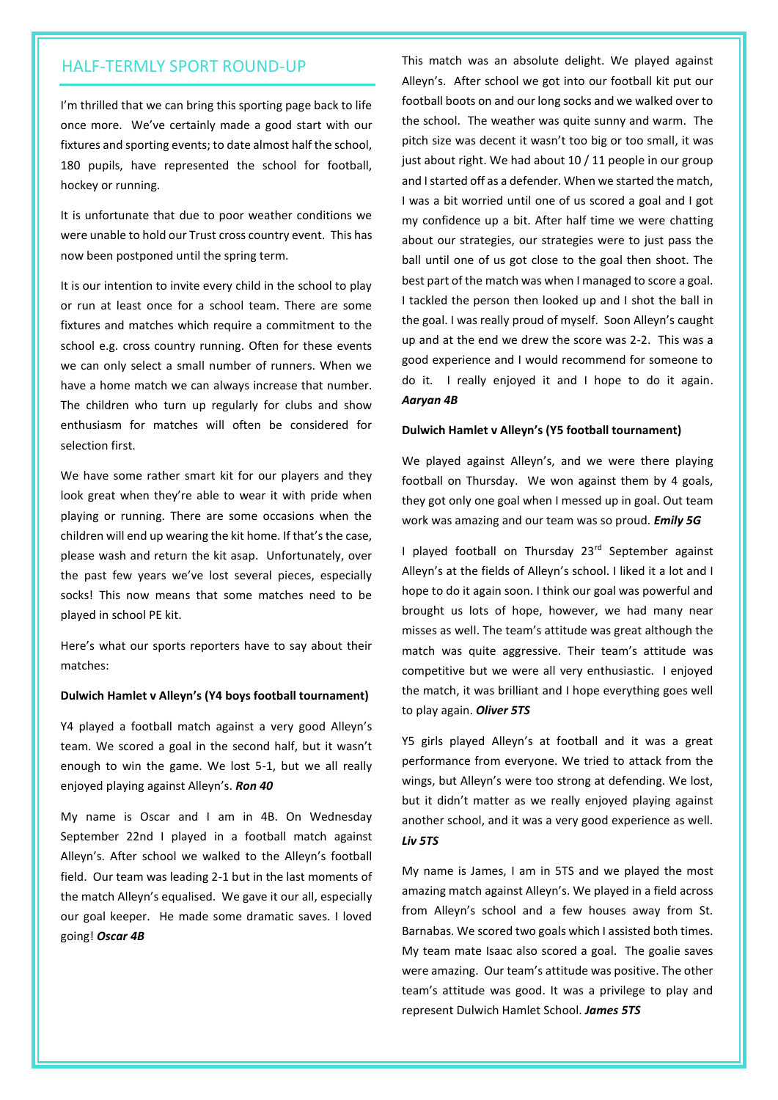I'm thrilled that we can bring this sporting page back to life once more. We've certainly made a good start with our fixtures and sporting events; to date almost half the school, 180 pupils, have represented the school for football, hockey or running.

It is unfortunate that due to poor weather conditions we were unable to hold our Trust cross country event. This has now been postponed until the spring term.

It is our intention to invite every child in the school to play or run at least once for a school team. There are some fixtures and matches which require a commitment to the school e.g. cross country running. Often for these events we can only select a small number of runners. When we have a home match we can always increase that number. The children who turn up regularly for clubs and show enthusiasm for matches will often be considered for selection first.

We have some rather smart kit for our players and they look great when they're able to wear it with pride when playing or running. There are some occasions when the children will end up wearing the kit home. If that's the case, please wash and return the kit asap. Unfortunately, over the past few years we've lost several pieces, especially socks! This now means that some matches need to be played in school PE kit.

Here's what our sports reporters have to say about their matches:

#### **Dulwich Hamlet v Alleyn's (Y4 boys football tournament)**

Y4 played a football match against a very good Alleyn's team. We scored a goal in the second half, but it wasn't enough to win the game. We lost 5-1, but we all really enjoyed playing against Alleyn's. *Ron 40*

My name is Oscar and I am in 4B. On Wednesday September 22nd I played in a football match against Alleyn's. After school we walked to the Alleyn's football field. Our team was leading 2-1 but in the last moments of the match Alleyn's equalised. We gave it our all, especially our goal keeper. He made some dramatic saves. I loved going! *Oscar 4B*

HALF-TERMLY SPORT ROUND-UP This match was an absolute delight. We played against Alleyn's. After school we got into our football kit put our football boots on and our long socks and we walked over to the school. The weather was quite sunny and warm. The pitch size was decent it wasn't too big or too small, it was just about right. We had about 10 / 11 people in our group and I started off as a defender. When we started the match, I was a bit worried until one of us scored a goal and I got my confidence up a bit. After half time we were chatting about our strategies, our strategies were to just pass the ball until one of us got close to the goal then shoot. The best part of the match was when I managed to score a goal. I tackled the person then looked up and I shot the ball in the goal. I was really proud of myself. Soon Alleyn's caught up and at the end we drew the score was 2-2. This was a good experience and I would recommend for someone to do it. I really enjoyed it and I hope to do it again. *Aaryan 4B*

#### **Dulwich Hamlet v Alleyn's (Y5 football tournament)**

We played against Alleyn's, and we were there playing football on Thursday. We won against them by 4 goals, they got only one goal when I messed up in goal. Out team work was amazing and our team was so proud. *Emily 5G*

I played football on Thursday 23<sup>rd</sup> September against Alleyn's at the fields of Alleyn's school. I liked it a lot and I hope to do it again soon. I think our goal was powerful and brought us lots of hope, however, we had many near misses as well. The team's attitude was great although the match was quite aggressive. Their team's attitude was competitive but we were all very enthusiastic. I enjoyed the match, it was brilliant and I hope everything goes well to play again. *Oliver 5TS*

Y5 girls played Alleyn's at football and it was a great performance from everyone. We tried to attack from the wings, but Alleyn's were too strong at defending. We lost, but it didn't matter as we really enjoyed playing against another school, and it was a very good experience as well. *Liv 5TS*

My name is James, I am in 5TS and we played the most amazing match against Alleyn's. We played in a field across from Alleyn's school and a few houses away from St. Barnabas. We scored two goals which I assisted both times. My team mate Isaac also scored a goal. The goalie saves were amazing. Our team's attitude was positive. The other team's attitude was good. It was a privilege to play and represent Dulwich Hamlet School. *James 5TS*